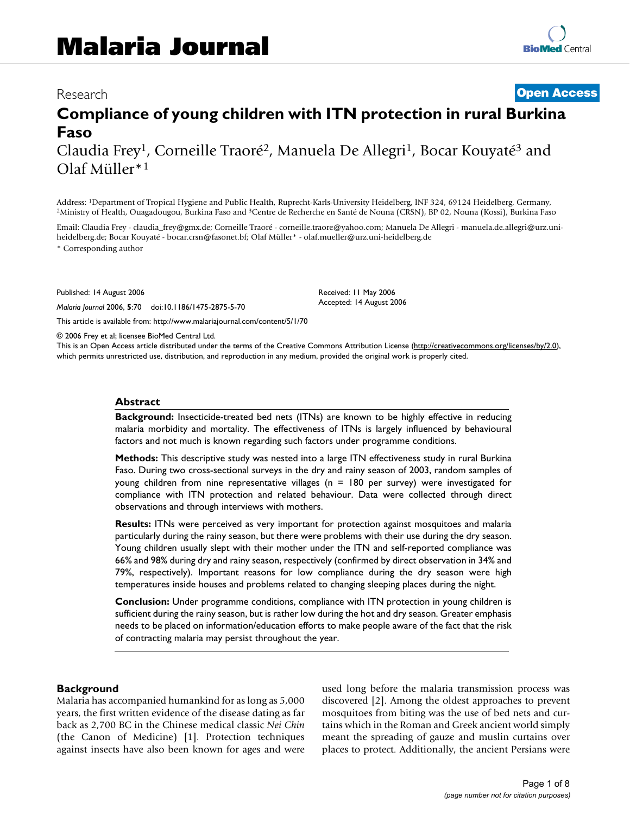# Research **[Open Access](http://www.biomedcentral.com/info/about/charter/) Compliance of young children with ITN protection in rural Burkina Faso** Claudia Frey<sup>1</sup>, Corneille Traoré<sup>2</sup>, Manuela De Allegri<sup>1</sup>, Bocar Kouyaté<sup>3</sup> and Olaf Müller\*1

Address: <sup>1</sup>Department of Tropical Hygiene and Public Health, Ruprecht-Karls-University Heidelberg, INF 324, 69124 Heidelberg, Germany,<br><sup>2</sup>Ministry of Health, Ouagadougou, Burkina Faso and <sup>3</sup>Centre de Recherche en Santé d

Email: Claudia Frey - claudia\_frey@gmx.de; Corneille Traoré - corneille.traore@yahoo.com; Manuela De Allegri - manuela.de.allegri@urz.uniheidelberg.de; Bocar Kouyaté - bocar.crsn@fasonet.bf; Olaf Müller\* - olaf.mueller@urz.uni-heidelberg.de \* Corresponding author

> Received: 11 May 2006 Accepted: 14 August 2006

Published: 14 August 2006

*Malaria Journal* 2006, **5**:70 doi:10.1186/1475-2875-5-70

[This article is available from: http://www.malariajournal.com/content/5/1/70](http://www.malariajournal.com/content/5/1/70)

© 2006 Frey et al; licensee BioMed Central Ltd.

This is an Open Access article distributed under the terms of the Creative Commons Attribution License [\(http://creativecommons.org/licenses/by/2.0\)](http://creativecommons.org/licenses/by/2.0), which permits unrestricted use, distribution, and reproduction in any medium, provided the original work is properly cited.

#### **Abstract**

**Background:** Insecticide-treated bed nets (ITNs) are known to be highly effective in reducing malaria morbidity and mortality. The effectiveness of ITNs is largely influenced by behavioural factors and not much is known regarding such factors under programme conditions.

**Methods:** This descriptive study was nested into a large ITN effectiveness study in rural Burkina Faso. During two cross-sectional surveys in the dry and rainy season of 2003, random samples of young children from nine representative villages (n = 180 per survey) were investigated for compliance with ITN protection and related behaviour. Data were collected through direct observations and through interviews with mothers.

**Results:** ITNs were perceived as very important for protection against mosquitoes and malaria particularly during the rainy season, but there were problems with their use during the dry season. Young children usually slept with their mother under the ITN and self-reported compliance was 66% and 98% during dry and rainy season, respectively (confirmed by direct observation in 34% and 79%, respectively). Important reasons for low compliance during the dry season were high temperatures inside houses and problems related to changing sleeping places during the night.

**Conclusion:** Under programme conditions, compliance with ITN protection in young children is sufficient during the rainy season, but is rather low during the hot and dry season. Greater emphasis needs to be placed on information/education efforts to make people aware of the fact that the risk of contracting malaria may persist throughout the year.

#### **Background**

Malaria has accompanied humankind for as long as 5,000 years, the first written evidence of the disease dating as far back as 2,700 BC in the Chinese medical classic *Nei Chin* (the Canon of Medicine) [1]. Protection techniques against insects have also been known for ages and were used long before the malaria transmission process was discovered [2]. Among the oldest approaches to prevent mosquitoes from biting was the use of bed nets and curtains which in the Roman and Greek ancient world simply meant the spreading of gauze and muslin curtains over places to protect. Additionally, the ancient Persians were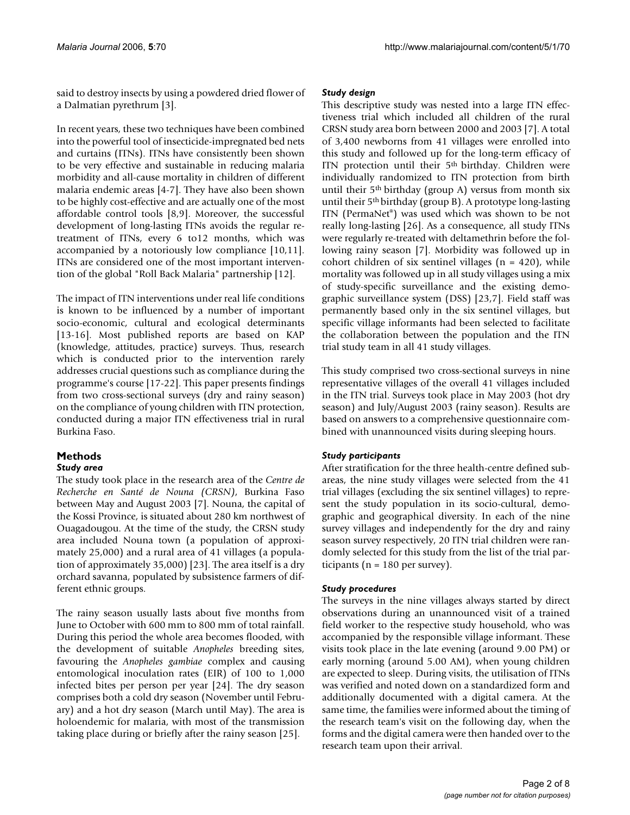said to destroy insects by using a powdered dried flower of a Dalmatian pyrethrum [3].

In recent years, these two techniques have been combined into the powerful tool of insecticide-impregnated bed nets and curtains (ITNs). ITNs have consistently been shown to be very effective and sustainable in reducing malaria morbidity and all-cause mortality in children of different malaria endemic areas [4-7]. They have also been shown to be highly cost-effective and are actually one of the most affordable control tools [8,9]. Moreover, the successful development of long-lasting ITNs avoids the regular retreatment of ITNs, every 6 to12 months, which was accompanied by a notoriously low compliance [10,11]. ITNs are considered one of the most important intervention of the global "Roll Back Malaria" partnership [12].

The impact of ITN interventions under real life conditions is known to be influenced by a number of important socio-economic, cultural and ecological determinants [13-16]. Most published reports are based on KAP (knowledge, attitudes, practice) surveys. Thus, research which is conducted prior to the intervention rarely addresses crucial questions such as compliance during the programme's course [17-22]. This paper presents findings from two cross-sectional surveys (dry and rainy season) on the compliance of young children with ITN protection, conducted during a major ITN effectiveness trial in rural Burkina Faso.

## **Methods**

### *Study area*

The study took place in the research area of the *Centre de Recherche en Santé de Nouna (CRSN)*, Burkina Faso between May and August 2003 [7]. Nouna, the capital of the Kossi Province, is situated about 280 km northwest of Ouagadougou. At the time of the study, the CRSN study area included Nouna town (a population of approximately 25,000) and a rural area of 41 villages (a population of approximately 35,000) [23]. The area itself is a dry orchard savanna, populated by subsistence farmers of different ethnic groups.

The rainy season usually lasts about five months from June to October with 600 mm to 800 mm of total rainfall. During this period the whole area becomes flooded, with the development of suitable *Anopheles* breeding sites, favouring the *Anopheles gambiae* complex and causing entomological inoculation rates (EIR) of 100 to 1,000 infected bites per person per year [24]. The dry season comprises both a cold dry season (November until February) and a hot dry season (March until May). The area is holoendemic for malaria, with most of the transmission taking place during or briefly after the rainy season [25].

#### *Study design*

This descriptive study was nested into a large ITN effectiveness trial which included all children of the rural CRSN study area born between 2000 and 2003 [7]. A total of 3,400 newborns from 41 villages were enrolled into this study and followed up for the long-term efficacy of ITN protection until their 5th birthday. Children were individually randomized to ITN protection from birth until their  $5<sup>th</sup>$  birthday (group A) versus from month six until their 5th birthday (group B). A prototype long-lasting ITN (PermaNet®) was used which was shown to be not really long-lasting [26]. As a consequence, all study ITNs were regularly re-treated with deltamethrin before the following rainy season [7]. Morbidity was followed up in cohort children of six sentinel villages ( $n = 420$ ), while mortality was followed up in all study villages using a mix of study-specific surveillance and the existing demographic surveillance system (DSS) [23,7]. Field staff was permanently based only in the six sentinel villages, but specific village informants had been selected to facilitate the collaboration between the population and the ITN trial study team in all 41 study villages.

This study comprised two cross-sectional surveys in nine representative villages of the overall 41 villages included in the ITN trial. Surveys took place in May 2003 (hot dry season) and July/August 2003 (rainy season). Results are based on answers to a comprehensive questionnaire combined with unannounced visits during sleeping hours.

### *Study participants*

After stratification for the three health-centre defined subareas, the nine study villages were selected from the 41 trial villages (excluding the six sentinel villages) to represent the study population in its socio-cultural, demographic and geographical diversity. In each of the nine survey villages and independently for the dry and rainy season survey respectively, 20 ITN trial children were randomly selected for this study from the list of the trial participants ( $n = 180$  per survey).

#### *Study procedures*

The surveys in the nine villages always started by direct observations during an unannounced visit of a trained field worker to the respective study household, who was accompanied by the responsible village informant. These visits took place in the late evening (around 9.00 PM) or early morning (around 5.00 AM), when young children are expected to sleep. During visits, the utilisation of ITNs was verified and noted down on a standardized form and additionally documented with a digital camera. At the same time, the families were informed about the timing of the research team's visit on the following day, when the forms and the digital camera were then handed over to the research team upon their arrival.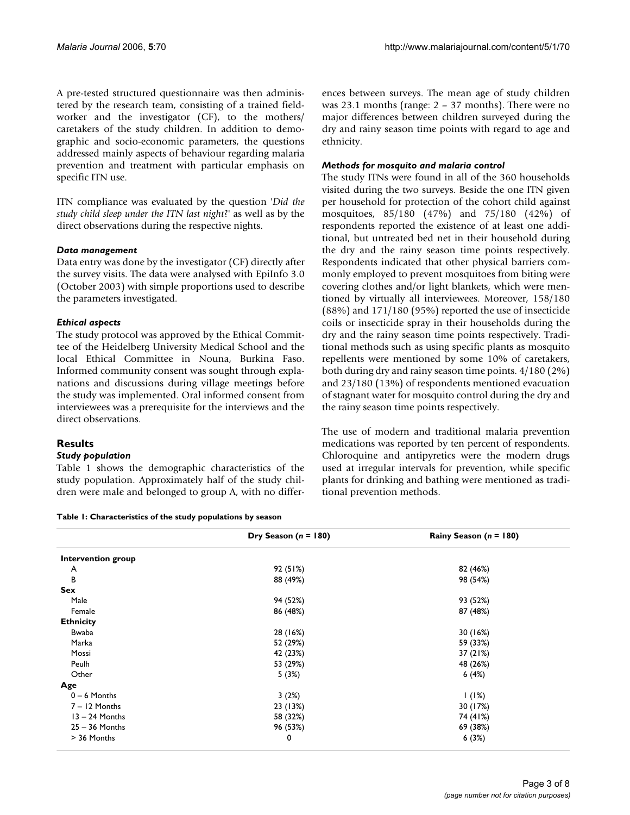A pre-tested structured questionnaire was then administered by the research team, consisting of a trained fieldworker and the investigator (CF), to the mothers/ caretakers of the study children. In addition to demographic and socio-economic parameters, the questions addressed mainly aspects of behaviour regarding malaria prevention and treatment with particular emphasis on specific ITN use.

ITN compliance was evaluated by the question '*Did the study child sleep under the ITN last night*?' as well as by the direct observations during the respective nights.

#### *Data management*

Data entry was done by the investigator (CF) directly after the survey visits. The data were analysed with EpiInfo 3.0 (October 2003) with simple proportions used to describe the parameters investigated.

### *Ethical aspects*

The study protocol was approved by the Ethical Committee of the Heidelberg University Medical School and the local Ethical Committee in Nouna, Burkina Faso. Informed community consent was sought through explanations and discussions during village meetings before the study was implemented. Oral informed consent from interviewees was a prerequisite for the interviews and the direct observations.

### **Results**

#### *Study population*

Table 1 shows the demographic characteristics of the study population. Approximately half of the study children were male and belonged to group A, with no differ-

**Table 1: Characteristics of the study populations by season**

ences between surveys. The mean age of study children was 23.1 months (range: 2 – 37 months). There were no major differences between children surveyed during the dry and rainy season time points with regard to age and ethnicity.

#### *Methods for mosquito and malaria control*

The study ITNs were found in all of the 360 households visited during the two surveys. Beside the one ITN given per household for protection of the cohort child against mosquitoes, 85/180 (47%) and 75/180 (42%) of respondents reported the existence of at least one additional, but untreated bed net in their household during the dry and the rainy season time points respectively. Respondents indicated that other physical barriers commonly employed to prevent mosquitoes from biting were covering clothes and/or light blankets, which were mentioned by virtually all interviewees. Moreover, 158/180 (88%) and 171/180 (95%) reported the use of insecticide coils or insecticide spray in their households during the dry and the rainy season time points respectively. Traditional methods such as using specific plants as mosquito repellents were mentioned by some 10% of caretakers, both during dry and rainy season time points. 4/180 (2%) and 23/180 (13%) of respondents mentioned evacuation of stagnant water for mosquito control during the dry and the rainy season time points respectively.

The use of modern and traditional malaria prevention medications was reported by ten percent of respondents. Chloroquine and antipyretics were the modern drugs used at irregular intervals for prevention, while specific plants for drinking and bathing were mentioned as traditional prevention methods.

|                           | Dry Season ( $n = 180$ ) | Rainy Season ( $n = 180$ ) |
|---------------------------|--------------------------|----------------------------|
| <b>Intervention group</b> |                          |                            |
| A                         | 92 (51%)                 | 82 (46%)                   |
| B                         | 88 (49%)                 | 98 (54%)                   |
| Sex                       |                          |                            |
| Male                      | 94 (52%)                 | 93 (52%)                   |
| Female                    | 86 (48%)                 | 87 (48%)                   |
| <b>Ethnicity</b>          |                          |                            |
| Bwaba                     | 28 (16%)                 | 30 (16%)                   |
| Marka                     | 52 (29%)                 | 59 (33%)                   |
| Mossi                     | 42 (23%)                 | 37 (21%)                   |
| Peulh                     | 53 (29%)                 | 48 (26%)                   |
| Other                     | 5(3%)                    | 6(4%)                      |
| Age                       |                          |                            |
| $0 - 6$ Months            | 3(2%)                    | 1(1%)                      |
| $7 - 12$ Months           | 23 (13%)                 | 30 (17%)                   |
| $13 - 24$ Months          | 58 (32%)                 | 74 (41%)                   |
| $25 - 36$ Months          | 96 (53%)                 | 69 (38%)                   |
| > 36 Months               | 0                        | 6(3%)                      |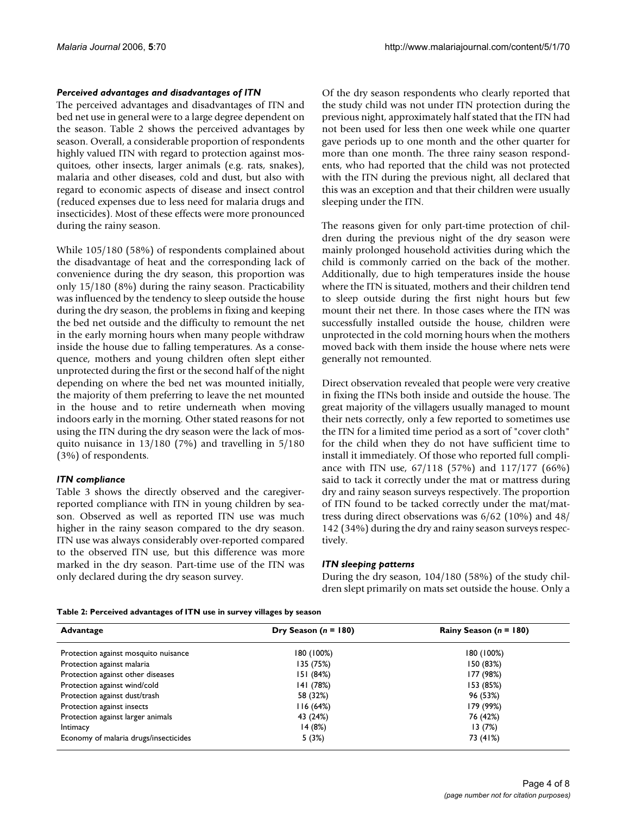#### *Perceived advantages and disadvantages of ITN*

The perceived advantages and disadvantages of ITN and bed net use in general were to a large degree dependent on the season. Table 2 shows the perceived advantages by season. Overall, a considerable proportion of respondents highly valued ITN with regard to protection against mosquitoes, other insects, larger animals (e.g. rats, snakes), malaria and other diseases, cold and dust, but also with regard to economic aspects of disease and insect control (reduced expenses due to less need for malaria drugs and insecticides). Most of these effects were more pronounced during the rainy season.

While 105/180 (58%) of respondents complained about the disadvantage of heat and the corresponding lack of convenience during the dry season, this proportion was only 15/180 (8%) during the rainy season. Practicability was influenced by the tendency to sleep outside the house during the dry season, the problems in fixing and keeping the bed net outside and the difficulty to remount the net in the early morning hours when many people withdraw inside the house due to falling temperatures. As a consequence, mothers and young children often slept either unprotected during the first or the second half of the night depending on where the bed net was mounted initially, the majority of them preferring to leave the net mounted in the house and to retire underneath when moving indoors early in the morning. Other stated reasons for not using the ITN during the dry season were the lack of mosquito nuisance in 13/180 (7%) and travelling in 5/180 (3%) of respondents.

### *ITN compliance*

Table 3 shows the directly observed and the caregiverreported compliance with ITN in young children by season. Observed as well as reported ITN use was much higher in the rainy season compared to the dry season. ITN use was always considerably over-reported compared to the observed ITN use, but this difference was more marked in the dry season. Part-time use of the ITN was only declared during the dry season survey.

Of the dry season respondents who clearly reported that the study child was not under ITN protection during the previous night, approximately half stated that the ITN had not been used for less then one week while one quarter gave periods up to one month and the other quarter for more than one month. The three rainy season respondents, who had reported that the child was not protected with the ITN during the previous night, all declared that this was an exception and that their children were usually sleeping under the ITN.

The reasons given for only part-time protection of children during the previous night of the dry season were mainly prolonged household activities during which the child is commonly carried on the back of the mother. Additionally, due to high temperatures inside the house where the ITN is situated, mothers and their children tend to sleep outside during the first night hours but few mount their net there. In those cases where the ITN was successfully installed outside the house, children were unprotected in the cold morning hours when the mothers moved back with them inside the house where nets were generally not remounted.

Direct observation revealed that people were very creative in fixing the ITNs both inside and outside the house. The great majority of the villagers usually managed to mount their nets correctly, only a few reported to sometimes use the ITN for a limited time period as a sort of "cover cloth" for the child when they do not have sufficient time to install it immediately. Of those who reported full compliance with ITN use, 67/118 (57%) and 117/177 (66%) said to tack it correctly under the mat or mattress during dry and rainy season surveys respectively. The proportion of ITN found to be tacked correctly under the mat/mattress during direct observations was 6/62 (10%) and 48/ 142 (34%) during the dry and rainy season surveys respectively.

#### *ITN sleeping patterns*

During the dry season, 104/180 (58%) of the study children slept primarily on mats set outside the house. Only a

**Table 2: Perceived advantages of ITN use in survey villages by season**

| Advantage                             | Dry Season $(n = 180)$ | Rainy Season ( $n = 180$ ) |  |
|---------------------------------------|------------------------|----------------------------|--|
| Protection against mosquito nuisance  | 180 (100%)             | 180 (100%)                 |  |
| Protection against malaria            | 135 (75%)              | 150 (83%)                  |  |
| Protection against other diseases     | 151 (84%)              | 177 (98%)                  |  |
| Protection against wind/cold          | 141 (78%)              | 153 (85%)                  |  |
| Protection against dust/trash         | 58 (32%)               | 96 (53%)                   |  |
| Protection against insects            | 116(64%)               | 179 (99%)                  |  |
| Protection against larger animals     | 43 (24%)               | 76 (42%)                   |  |
| Intimacy                              | 14(8%)                 | 13(7%)                     |  |
| Economy of malaria drugs/insecticides | 5(3%)                  | 73 (41%)                   |  |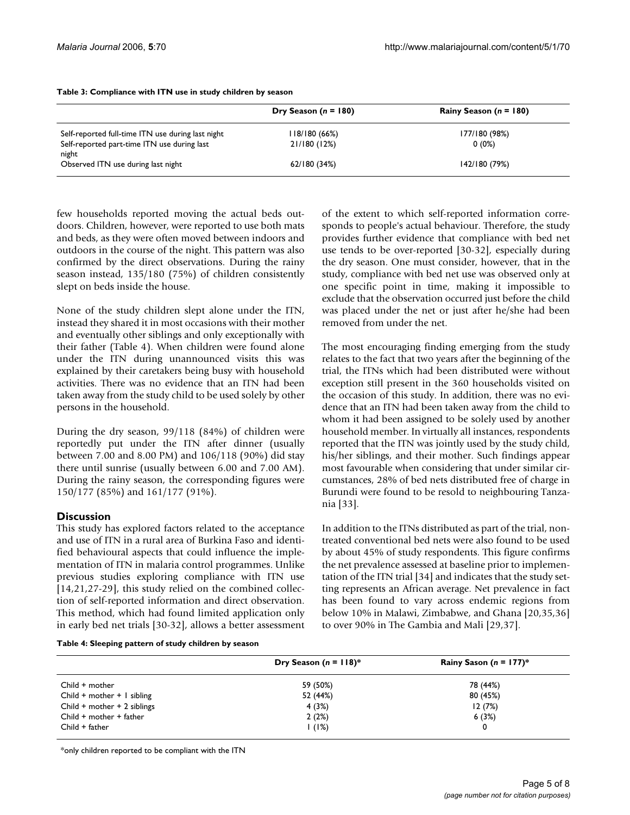|                                                                                                  | Dry Season $(n = 180)$       | Rainy Season $(n = 180)$  |
|--------------------------------------------------------------------------------------------------|------------------------------|---------------------------|
| Self-reported full-time ITN use during last night<br>Self-reported part-time ITN use during last | 18/180 (66%)<br>21/180 (12%) | 177/180 (98%)<br>$0(0\%)$ |
| night<br>Observed ITN use during last night                                                      | 62/180 (34%)                 | 142/180 (79%)             |

#### **Table 3: Compliance with ITN use in study children by season**

few households reported moving the actual beds outdoors. Children, however, were reported to use both mats and beds, as they were often moved between indoors and outdoors in the course of the night. This pattern was also confirmed by the direct observations. During the rainy season instead, 135/180 (75%) of children consistently slept on beds inside the house.

None of the study children slept alone under the ITN, instead they shared it in most occasions with their mother and eventually other siblings and only exceptionally with their father (Table 4). When children were found alone under the ITN during unannounced visits this was explained by their caretakers being busy with household activities. There was no evidence that an ITN had been taken away from the study child to be used solely by other persons in the household.

During the dry season, 99/118 (84%) of children were reportedly put under the ITN after dinner (usually between 7.00 and 8.00 PM) and 106/118 (90%) did stay there until sunrise (usually between 6.00 and 7.00 AM). During the rainy season, the corresponding figures were 150/177 (85%) and 161/177 (91%).

### **Discussion**

This study has explored factors related to the acceptance and use of ITN in a rural area of Burkina Faso and identified behavioural aspects that could influence the implementation of ITN in malaria control programmes. Unlike previous studies exploring compliance with ITN use [14,21,27-29], this study relied on the combined collection of self-reported information and direct observation. This method, which had found limited application only in early bed net trials [30-32], allows a better assessment of the extent to which self-reported information corresponds to people's actual behaviour. Therefore, the study provides further evidence that compliance with bed net use tends to be over-reported [30-32], especially during the dry season. One must consider, however, that in the study, compliance with bed net use was observed only at one specific point in time, making it impossible to exclude that the observation occurred just before the child was placed under the net or just after he/she had been removed from under the net.

The most encouraging finding emerging from the study relates to the fact that two years after the beginning of the trial, the ITNs which had been distributed were without exception still present in the 360 households visited on the occasion of this study. In addition, there was no evidence that an ITN had been taken away from the child to whom it had been assigned to be solely used by another household member. In virtually all instances, respondents reported that the ITN was jointly used by the study child, his/her siblings, and their mother. Such findings appear most favourable when considering that under similar circumstances, 28% of bed nets distributed free of charge in Burundi were found to be resold to neighbouring Tanzania [33].

In addition to the ITNs distributed as part of the trial, nontreated conventional bed nets were also found to be used by about 45% of study respondents. This figure confirms the net prevalence assessed at baseline prior to implementation of the ITN trial [34] and indicates that the study setting represents an African average. Net prevalence in fact has been found to vary across endemic regions from below 10% in Malawi, Zimbabwe, and Ghana [20,35,36] to over 90% in The Gambia and Mali [29,37].

| Table 4: Sleeping pattern of study children by season |  |  |  |
|-------------------------------------------------------|--|--|--|
|-------------------------------------------------------|--|--|--|

|                                  | Dry Season $(n = 118)^*$ | Rainy Sason ( $n = 177$ )* |
|----------------------------------|--------------------------|----------------------------|
| Child + mother                   | 59 (50%)                 | 78 (44%)                   |
| Child + mother + $\vert$ sibling | 52 (44%)                 | 80 (45%)                   |
| Child + mother + $2$ siblings    | 4(3%)                    | 12(7%)                     |
| Child + mother + father          | 2(2%)                    | 6(3%)                      |
| Child + father                   | $\mid$ (1%)              | 0                          |

\*only children reported to be compliant with the ITN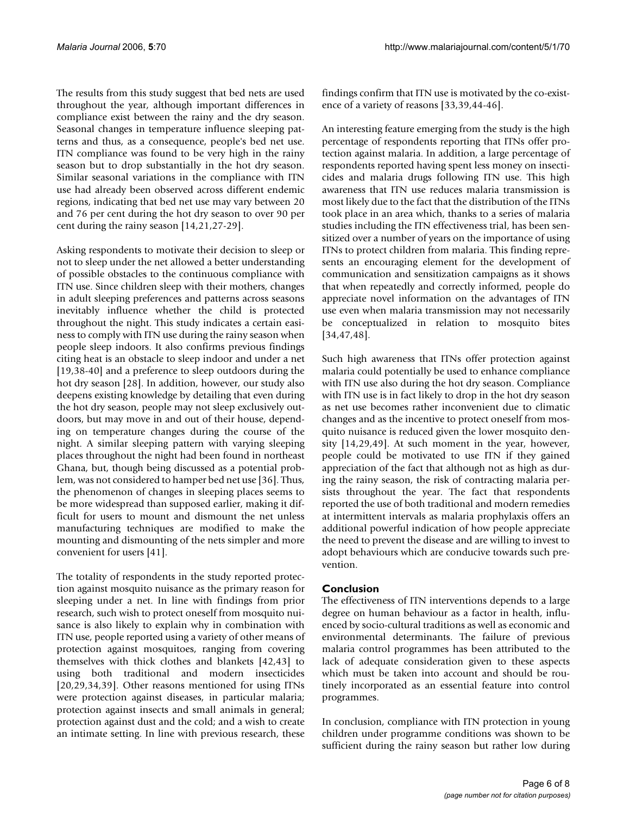The results from this study suggest that bed nets are used throughout the year, although important differences in compliance exist between the rainy and the dry season. Seasonal changes in temperature influence sleeping patterns and thus, as a consequence, people's bed net use. ITN compliance was found to be very high in the rainy season but to drop substantially in the hot dry season. Similar seasonal variations in the compliance with ITN use had already been observed across different endemic regions, indicating that bed net use may vary between 20 and 76 per cent during the hot dry season to over 90 per cent during the rainy season [14,21,27-29].

Asking respondents to motivate their decision to sleep or not to sleep under the net allowed a better understanding of possible obstacles to the continuous compliance with ITN use. Since children sleep with their mothers, changes in adult sleeping preferences and patterns across seasons inevitably influence whether the child is protected throughout the night. This study indicates a certain easiness to comply with ITN use during the rainy season when people sleep indoors. It also confirms previous findings citing heat is an obstacle to sleep indoor and under a net [19,38-40] and a preference to sleep outdoors during the hot dry season [28]. In addition, however, our study also deepens existing knowledge by detailing that even during the hot dry season, people may not sleep exclusively outdoors, but may move in and out of their house, depending on temperature changes during the course of the night. A similar sleeping pattern with varying sleeping places throughout the night had been found in northeast Ghana, but, though being discussed as a potential problem, was not considered to hamper bed net use [36]. Thus, the phenomenon of changes in sleeping places seems to be more widespread than supposed earlier, making it difficult for users to mount and dismount the net unless manufacturing techniques are modified to make the mounting and dismounting of the nets simpler and more convenient for users [41].

The totality of respondents in the study reported protection against mosquito nuisance as the primary reason for sleeping under a net. In line with findings from prior research, such wish to protect oneself from mosquito nuisance is also likely to explain why in combination with ITN use, people reported using a variety of other means of protection against mosquitoes, ranging from covering themselves with thick clothes and blankets [42,43] to using both traditional and modern insecticides [20,29,34,39]. Other reasons mentioned for using ITNs were protection against diseases, in particular malaria; protection against insects and small animals in general; protection against dust and the cold; and a wish to create an intimate setting. In line with previous research, these findings confirm that ITN use is motivated by the co-existence of a variety of reasons [33,39,44-46].

An interesting feature emerging from the study is the high percentage of respondents reporting that ITNs offer protection against malaria. In addition, a large percentage of respondents reported having spent less money on insecticides and malaria drugs following ITN use. This high awareness that ITN use reduces malaria transmission is most likely due to the fact that the distribution of the ITNs took place in an area which, thanks to a series of malaria studies including the ITN effectiveness trial, has been sensitized over a number of years on the importance of using ITNs to protect children from malaria. This finding represents an encouraging element for the development of communication and sensitization campaigns as it shows that when repeatedly and correctly informed, people do appreciate novel information on the advantages of ITN use even when malaria transmission may not necessarily be conceptualized in relation to mosquito bites [34,47,48].

Such high awareness that ITNs offer protection against malaria could potentially be used to enhance compliance with ITN use also during the hot dry season. Compliance with ITN use is in fact likely to drop in the hot dry season as net use becomes rather inconvenient due to climatic changes and as the incentive to protect oneself from mosquito nuisance is reduced given the lower mosquito density [14,29,49]. At such moment in the year, however, people could be motivated to use ITN if they gained appreciation of the fact that although not as high as during the rainy season, the risk of contracting malaria persists throughout the year. The fact that respondents reported the use of both traditional and modern remedies at intermittent intervals as malaria prophylaxis offers an additional powerful indication of how people appreciate the need to prevent the disease and are willing to invest to adopt behaviours which are conducive towards such prevention.

### **Conclusion**

The effectiveness of ITN interventions depends to a large degree on human behaviour as a factor in health, influenced by socio-cultural traditions as well as economic and environmental determinants. The failure of previous malaria control programmes has been attributed to the lack of adequate consideration given to these aspects which must be taken into account and should be routinely incorporated as an essential feature into control programmes.

In conclusion, compliance with ITN protection in young children under programme conditions was shown to be sufficient during the rainy season but rather low during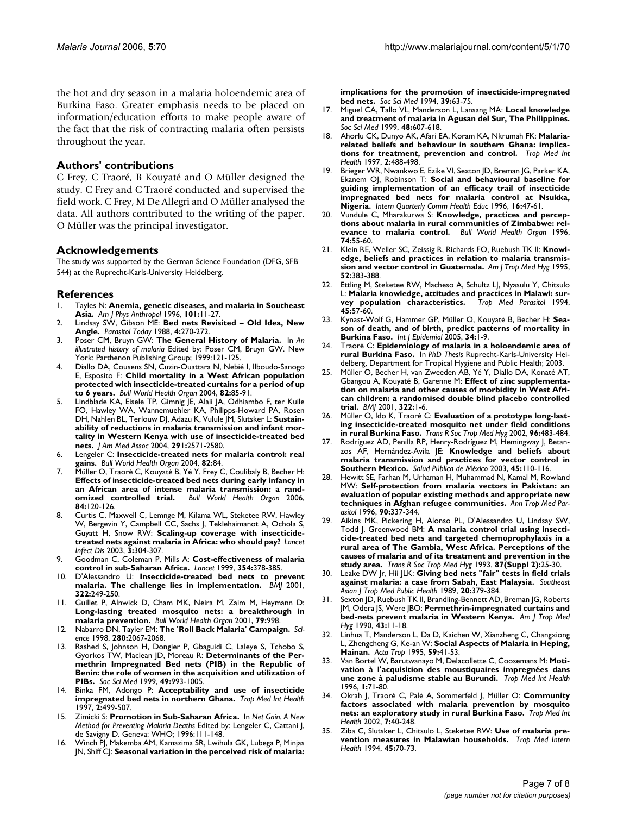the hot and dry season in a malaria holoendemic area of Burkina Faso. Greater emphasis needs to be placed on information/education efforts to make people aware of the fact that the risk of contracting malaria often persists throughout the year.

#### **Authors' contributions**

C Frey, C Traoré, B Kouyaté and O Müller designed the study. C Frey and C Traoré conducted and supervised the field work. C Frey, M De Allegri and O Müller analysed the data. All authors contributed to the writing of the paper. O Müller was the principal investigator.

#### **Acknowledgements**

The study was supported by the German Science Foundation (DFG, SFB 544) at the Ruprecht-Karls-University Heidelberg.

#### **References**

- 1. Tayles N: **[Anemia, genetic diseases, and malaria in Southeast](http://www.ncbi.nlm.nih.gov/entrez/query.fcgi?cmd=Retrieve&db=PubMed&dopt=Abstract&list_uids=8876811) [Asia.](http://www.ncbi.nlm.nih.gov/entrez/query.fcgi?cmd=Retrieve&db=PubMed&dopt=Abstract&list_uids=8876811)** *Am J Phys Anthropol* 1996, **101:**11-27.
- 2. Lindsay SW, Gibson ME: **[Bed nets Revisited Old Idea, New](http://www.ncbi.nlm.nih.gov/entrez/query.fcgi?cmd=Retrieve&db=PubMed&dopt=Abstract&list_uids=15462999) [Angle.](http://www.ncbi.nlm.nih.gov/entrez/query.fcgi?cmd=Retrieve&db=PubMed&dopt=Abstract&list_uids=15462999)** *Parasitol Today* 1988, **4:**270-272.
- 3. Poser CM, Bruyn GW: **The General History of Malaria.** In *An illustrated history of malaria* Edited by: Poser CM, Bruyn GW. New York: Parthenon Publishing Group; 1999:121-125.
- 4. Diallo DA, Cousens SN, Cuzin-Ouattara N, Nebié I, Ilboudo-Sanogo E, Esposito F: **[Child mortality in a West African population](http://www.ncbi.nlm.nih.gov/entrez/query.fcgi?cmd=Retrieve&db=PubMed&dopt=Abstract&list_uids=15042229) [protected with insecticide-treated curtains for a period of up](http://www.ncbi.nlm.nih.gov/entrez/query.fcgi?cmd=Retrieve&db=PubMed&dopt=Abstract&list_uids=15042229) [to 6 years.](http://www.ncbi.nlm.nih.gov/entrez/query.fcgi?cmd=Retrieve&db=PubMed&dopt=Abstract&list_uids=15042229)** *Bull World Health Organ* 2004, **82:**85-91.
- 5. Lindblade KA, Eisele TP, Gimnig JE, Alaii JA, Odhiambo F, ter Kuile FO, Hawley WA, Wannemuehler KA, Philipps-Howard PA, Rosen DH, Nahlen BL, Terlouw DJ, Adazu K, Vulule JM, Slutsker L: **Sustainability of reductions in malaria transmission and infant mortality in Western Kenya with use of insecticide-treated bed nets.** *J Am Med Assoc* 2004, **291:**2571-2580.
- 6. Lengeler C: **[Insecticide-treated nets for malaria control: real](http://www.ncbi.nlm.nih.gov/entrez/query.fcgi?cmd=Retrieve&db=PubMed&dopt=Abstract&list_uids=15042228) [gains.](http://www.ncbi.nlm.nih.gov/entrez/query.fcgi?cmd=Retrieve&db=PubMed&dopt=Abstract&list_uids=15042228)** *Bull World Health Organ* 2004, **82:**84.
- Müller O, Traoré C, Kouyaté B, Yé Y, Frey C, Coulibaly B, Becher H: **[Effects of insecticide-treated bed nets during early infancy in](http://www.ncbi.nlm.nih.gov/entrez/query.fcgi?cmd=Retrieve&db=PubMed&dopt=Abstract&list_uids=16501729) an African area of intense malaria transmission: a rand[omized controlled trial.](http://www.ncbi.nlm.nih.gov/entrez/query.fcgi?cmd=Retrieve&db=PubMed&dopt=Abstract&list_uids=16501729)** *Bull World Health Organ* 2006, **84:**120-126.
- 8. Curtis C, Maxwell C, Lemnge M, Kilama WL, Steketee RW, Hawley W, Bergevin Y, Campbell CC, Sachs J, Teklehaimanot A, Ochola S, Guyatt H, Snow RW: **[Scaling-up coverage with insecticide](http://www.ncbi.nlm.nih.gov/entrez/query.fcgi?cmd=Retrieve&db=PubMed&dopt=Abstract&list_uids=12726981)[treated nets against malaria in Africa: who should pay?](http://www.ncbi.nlm.nih.gov/entrez/query.fcgi?cmd=Retrieve&db=PubMed&dopt=Abstract&list_uids=12726981)** *Lancet Infect Dis* 2003, **3:**304-307.
- 9. Goodman C, Coleman P, Mills A: **[Cost-effectiveness of malaria](http://www.ncbi.nlm.nih.gov/entrez/query.fcgi?cmd=Retrieve&db=PubMed&dopt=Abstract&list_uids=10437867) [control in sub-Saharan Africa.](http://www.ncbi.nlm.nih.gov/entrez/query.fcgi?cmd=Retrieve&db=PubMed&dopt=Abstract&list_uids=10437867)** *Lancet* 1999, **354:**378-385.
- 10. D'Alessandro U: **[Insecticide-treated bed nets to prevent](http://www.ncbi.nlm.nih.gov/entrez/query.fcgi?cmd=Retrieve&db=PubMed&dopt=Abstract&list_uids=11157510) [malaria. The challenge lies in implementation.](http://www.ncbi.nlm.nih.gov/entrez/query.fcgi?cmd=Retrieve&db=PubMed&dopt=Abstract&list_uids=11157510)** *BMJ* 2001, **322:**249-250.
- 11. Guillet P, Alnwick D, Cham MK, Neira M, Zaim M, Heymann D: **[Long-lasting treated mosquito nets: a breakthrough in](http://www.ncbi.nlm.nih.gov/entrez/query.fcgi?cmd=Retrieve&db=PubMed&dopt=Abstract&list_uids=11693984) [malaria prevention.](http://www.ncbi.nlm.nih.gov/entrez/query.fcgi?cmd=Retrieve&db=PubMed&dopt=Abstract&list_uids=11693984)** *Bull World Health Organ* 2001, **79:**998.
- 12. Nabarro DN, Tayler EM: **[The 'Roll Back Malaria' Campaign.](http://www.ncbi.nlm.nih.gov/entrez/query.fcgi?cmd=Retrieve&db=PubMed&dopt=Abstract&list_uids=9669961)** *Science* 1998, **280:**2067-2068.
- 13. Rashed S, Johnson H, Dongier P, Gbaguidi C, Laleye S, Tchobo S, Gyorkos TW, Maclean JD, Moreau R: **[Determinants of the Per](http://www.ncbi.nlm.nih.gov/entrez/query.fcgi?cmd=Retrieve&db=PubMed&dopt=Abstract&list_uids=10475665)[methrin Impregnated Bed nets \(PIB\) in the Republic of](http://www.ncbi.nlm.nih.gov/entrez/query.fcgi?cmd=Retrieve&db=PubMed&dopt=Abstract&list_uids=10475665) Benin: the role of women in the acquisition and utilization of [PIBs.](http://www.ncbi.nlm.nih.gov/entrez/query.fcgi?cmd=Retrieve&db=PubMed&dopt=Abstract&list_uids=10475665)** *Soc Sci Med* 1999, **49:**993-1005.
- 14. Binka FM, Adongo P: **[Acceptability and use of insecticide](http://www.ncbi.nlm.nih.gov/entrez/query.fcgi?cmd=Retrieve&db=PubMed&dopt=Abstract&list_uids=9217706) [impregnated bed nets in northern Ghana.](http://www.ncbi.nlm.nih.gov/entrez/query.fcgi?cmd=Retrieve&db=PubMed&dopt=Abstract&list_uids=9217706)** *Trop Med Int Health* 1997, **2:**499-507.
- 15. Zimicki S: **Promotion in Sub-Saharan Africa.** In *Net Gain. A New Method for Preventing Malaria Deaths* Edited by: Lengeler C, Cattani J, de Savigny D. Geneva: WHO; 1996:111-148.
- 16. Winch PJ, Makemba AM, Kamazima SR, Lwihula GK, Lubega P, Minjas JN, Shiff CJ: **[Seasonal variation in the perceived risk of malaria:](http://www.ncbi.nlm.nih.gov/entrez/query.fcgi?cmd=Retrieve&db=PubMed&dopt=Abstract&list_uids=8066488)**

**[implications for the promotion of insecticide-impregnated](http://www.ncbi.nlm.nih.gov/entrez/query.fcgi?cmd=Retrieve&db=PubMed&dopt=Abstract&list_uids=8066488) [bed nets.](http://www.ncbi.nlm.nih.gov/entrez/query.fcgi?cmd=Retrieve&db=PubMed&dopt=Abstract&list_uids=8066488)** *Soc Sci Med* 1994, **39:**63-75.

- 17. Miguel CA, Tallo VL, Manderson L, Lansang MA: **[Local knowledge](http://www.ncbi.nlm.nih.gov/entrez/query.fcgi?cmd=Retrieve&db=PubMed&dopt=Abstract&list_uids=10080362) [and treatment of malaria in Agusan del Sur, The Philippines.](http://www.ncbi.nlm.nih.gov/entrez/query.fcgi?cmd=Retrieve&db=PubMed&dopt=Abstract&list_uids=10080362)** *Soc Sci Med* 1999, **48:**607-618.
- 18. Ahorlu CK, Dunyo AK, Afari EA, Koram KA, Nkrumah FK: **[Malaria](http://www.ncbi.nlm.nih.gov/entrez/query.fcgi?cmd=Retrieve&db=PubMed&dopt=Abstract&list_uids=9217705)[related beliefs and behaviour in southern Ghana: implica](http://www.ncbi.nlm.nih.gov/entrez/query.fcgi?cmd=Retrieve&db=PubMed&dopt=Abstract&list_uids=9217705)[tions for treatment, prevention and control.](http://www.ncbi.nlm.nih.gov/entrez/query.fcgi?cmd=Retrieve&db=PubMed&dopt=Abstract&list_uids=9217705)** *Trop Med Int Health* 1997, **2:**488-498.
- 19. Brieger WR, Nwankwo E, Ezike VI, Sexton JD, Breman JG, Parker KA, Ekanem OJ, Robinson T: **Social and behavioural baseline for guiding implementation of an efficacy trail of insecticide impregnated bed nets for malaria control at Nsukka, Nigeria.** *Intern Quarterly Comm Health Educ* 1996, **16:**47-61.
- 20. Vundule C, Mharakurwa S: **[Knowledge, practices and percep](http://www.ncbi.nlm.nih.gov/entrez/query.fcgi?cmd=Retrieve&db=PubMed&dopt=Abstract&list_uids=8653816)[tions about malaria in rural communities of Zimbabwe: rel](http://www.ncbi.nlm.nih.gov/entrez/query.fcgi?cmd=Retrieve&db=PubMed&dopt=Abstract&list_uids=8653816)[evance to malaria control.](http://www.ncbi.nlm.nih.gov/entrez/query.fcgi?cmd=Retrieve&db=PubMed&dopt=Abstract&list_uids=8653816)** *Bull World Health Organ* 1996, **74:**55-60.
- 21. Klein RE, Weller SC, Zeissig R, Richards FO, Ruebush TK II: **[Knowl](http://www.ncbi.nlm.nih.gov/entrez/query.fcgi?cmd=Retrieve&db=PubMed&dopt=Abstract&list_uids=7771601)[edge, beliefs and practices in relation to malaria transmis](http://www.ncbi.nlm.nih.gov/entrez/query.fcgi?cmd=Retrieve&db=PubMed&dopt=Abstract&list_uids=7771601)[sion and vector control in Guatemala.](http://www.ncbi.nlm.nih.gov/entrez/query.fcgi?cmd=Retrieve&db=PubMed&dopt=Abstract&list_uids=7771601)** *Am J Trop Med Hyg* 1995, **52:**383-388.
- 22. Ettling M, Steketee RW, Macheso A, Schultz LJ, Nyasulu Y, Chitsulo L: **Malaria knowledge, attitudes and practices in Malawi: sur-<br>vey population characteristics. Trop Med Parasitol 1994,**  $vey$  population characteristics. **45:**57-60.
- 23. Kynast-Wolf G, Hammer GP, Müller O, Kouyaté B, Becher H: **[Sea](http://www.ncbi.nlm.nih.gov/entrez/query.fcgi?cmd=Retrieve&db=PubMed&dopt=Abstract&list_uids=15789449)[son of death, and of birth, predict patterns of mortality in](http://www.ncbi.nlm.nih.gov/entrez/query.fcgi?cmd=Retrieve&db=PubMed&dopt=Abstract&list_uids=15789449) [Burkina Faso.](http://www.ncbi.nlm.nih.gov/entrez/query.fcgi?cmd=Retrieve&db=PubMed&dopt=Abstract&list_uids=15789449)** *Int J Epidemiol* 2005, **34:**1-9.
- 24. Traoré C: **Epidemiology of malaria in a holoendemic area of rural Burkina Faso.** In *PhD Thesis* Ruprecht-Karls-University Heidelberg, Department for Tropical Hygiene and Public Health; 2003.
- 25. Müller O, Becher H, van Zweeden AB, Yé Y, Diallo DA, Konaté AT, Gbangou A, Kouyaté B, Garenne M: **[Effect of zinc supplementa](http://www.ncbi.nlm.nih.gov/entrez/query.fcgi?cmd=Retrieve&db=PubMed&dopt=Abstract&list_uids=11141128)[tion on malaria and other causes of morbidity in West Afri](http://www.ncbi.nlm.nih.gov/entrez/query.fcgi?cmd=Retrieve&db=PubMed&dopt=Abstract&list_uids=11141128)can children: a randomised double blind placebo controlled [trial.](http://www.ncbi.nlm.nih.gov/entrez/query.fcgi?cmd=Retrieve&db=PubMed&dopt=Abstract&list_uids=11141128)** *BMJ* 2001, **322:**1-6.
- 26. Müller O, Ido K, Traoré C: **[Evaluation of a prototype long-last](http://www.ncbi.nlm.nih.gov/entrez/query.fcgi?cmd=Retrieve&db=PubMed&dopt=Abstract&list_uids=12474472)[ing insecticide-treated mosquito net under field conditions](http://www.ncbi.nlm.nih.gov/entrez/query.fcgi?cmd=Retrieve&db=PubMed&dopt=Abstract&list_uids=12474472) [in rural Burkina Faso.](http://www.ncbi.nlm.nih.gov/entrez/query.fcgi?cmd=Retrieve&db=PubMed&dopt=Abstract&list_uids=12474472)** *Trans R Soc Trop Med Hyg* 2002, **96:**483-484.
- 27. Rodríguez AD, Penilla RP, Henry-Rodríguez M, Hemingway J, Betanzos AF, Hernández-Avila JE: **Knowledge and beliefs about malaria transmission and practices for vector control in Southern Mexico.** *Salud Pública de México* 2003, **45:**110-116.
- 28. Hewitt SE, Farhan M, Urhaman H, Muhammad N, Kamal M, Rowland MW: **[Self-protection from malaria vectors in Pakistan: an](http://www.ncbi.nlm.nih.gov/entrez/query.fcgi?cmd=Retrieve&db=PubMed&dopt=Abstract&list_uids=8758148) [evaluation of popular existing methods and appropriate new](http://www.ncbi.nlm.nih.gov/entrez/query.fcgi?cmd=Retrieve&db=PubMed&dopt=Abstract&list_uids=8758148) [techniques in Afghan refugee communities.](http://www.ncbi.nlm.nih.gov/entrez/query.fcgi?cmd=Retrieve&db=PubMed&dopt=Abstract&list_uids=8758148)** *Ann Trop Med Parasitol* 1996, **90:**337-344.
- 29. Aikins MK, Pickering H, Alonso PL, D'Alessandro U, Lindsay SW, Todd J, Greenwood BM: **[A malaria control trial using insecti](http://www.ncbi.nlm.nih.gov/entrez/query.fcgi?cmd=Retrieve&db=PubMed&dopt=Abstract&list_uids=8212106)[cide-treated bed nets and targeted chemoprophylaxis in a](http://www.ncbi.nlm.nih.gov/entrez/query.fcgi?cmd=Retrieve&db=PubMed&dopt=Abstract&list_uids=8212106) rural area of The Gambia, West Africa. Perceptions of the causes of malaria and of its treatment and prevention in the [study area.](http://www.ncbi.nlm.nih.gov/entrez/query.fcgi?cmd=Retrieve&db=PubMed&dopt=Abstract&list_uids=8212106)** *Trans R Soc Trop Med Hyg* 1993, **87(Suppl 2):**25-30.
- 30. Leake DW Jr, Hii JLK: **[Giving bed nets "fair" tests in field trials](http://www.ncbi.nlm.nih.gov/entrez/query.fcgi?cmd=Retrieve&db=PubMed&dopt=Abstract&list_uids=2699084) [against malaria: a case from Sabah, East Malaysia.](http://www.ncbi.nlm.nih.gov/entrez/query.fcgi?cmd=Retrieve&db=PubMed&dopt=Abstract&list_uids=2699084)** *Southeast Asian J Trop Med Public Health* 1989, **20:**379-384.
- 31. Sexton JD, Ruebush TK II, Brandling-Bennett AD, Breman JG, Roberts JM, Odera JS, Were JBO: **[Permethrin-impregnated curtains and](http://www.ncbi.nlm.nih.gov/entrez/query.fcgi?cmd=Retrieve&db=PubMed&dopt=Abstract&list_uids=2200287) [bed-nets prevent malaria in Western Kenya.](http://www.ncbi.nlm.nih.gov/entrez/query.fcgi?cmd=Retrieve&db=PubMed&dopt=Abstract&list_uids=2200287)** *Am J Trop Med Hyg* 1990, **43:**11-18.
- 32. Linhua T, Manderson L, Da D, Kaichen W, Xianzheng C, Changxiong L, Zhengcheng G, Ke-an W: **[Social Aspects of Malaria in Heping,](http://www.ncbi.nlm.nih.gov/entrez/query.fcgi?cmd=Retrieve&db=PubMed&dopt=Abstract&list_uids=7785525) [Hainan.](http://www.ncbi.nlm.nih.gov/entrez/query.fcgi?cmd=Retrieve&db=PubMed&dopt=Abstract&list_uids=7785525)** *Acta Trop* 1995, **59:**41-53.
- 33. Van Bortel W, Barutwanayo M, Delacollette C, Coosemans M: **[Moti](http://www.ncbi.nlm.nih.gov/entrez/query.fcgi?cmd=Retrieve&db=PubMed&dopt=Abstract&list_uids=8673825)[vation à l'acquisition des moustiquaires impregnées dans](http://www.ncbi.nlm.nih.gov/entrez/query.fcgi?cmd=Retrieve&db=PubMed&dopt=Abstract&list_uids=8673825) [une zone à paludisme stable au Burundi.](http://www.ncbi.nlm.nih.gov/entrez/query.fcgi?cmd=Retrieve&db=PubMed&dopt=Abstract&list_uids=8673825)** *Trop Med Int Health* 1996, **1:**71-80.
- 34. Okrah J, Traoré C, Palé A, Sommerfeld J, Müller O: **Community factors associated with malaria prevention by mosquito nets: an exploratory study in rural Burkina Faso.** *Trop Med Int Health* 2002, **7:**40-248.
- 35. Ziba C, Slutsker L, Chitsulo L, Steketee RW: **Use of malaria prevention measures in Malawian households.** *Trop Med Intern Health* 1994, **45:**70-73.